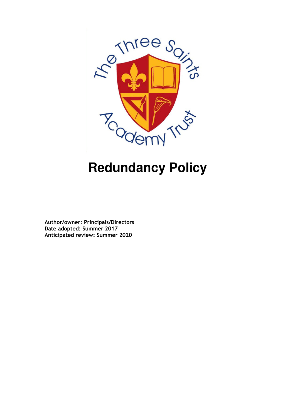

# **Redundancy Policy**

Author/owner: Principals/Directors Date adopted: Summer 2017 Anticipated review: Summer 2020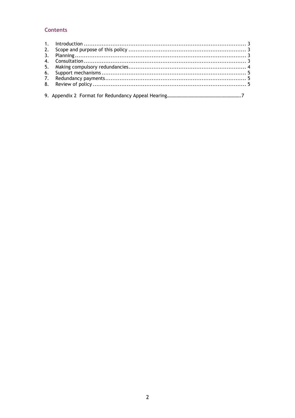# **Contents**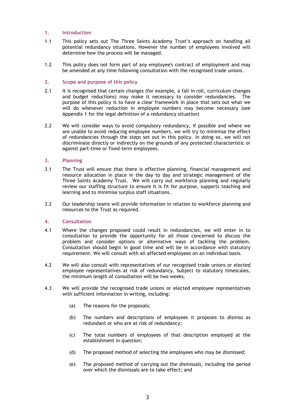# 1. Introduction

- 1.1 This policy sets out The Three Saints Academy Trust's approach on handling all potential redundancy situations. However the number of employees involved will determine how the process will be managed.
- 1.2 This policy does not form part of any employee's contract of employment and may be amended at any time following consultation with the recognised trade unions.

# 2. Scope and purpose of this policy

- 2.1 It is recognised that certain changes (for example, a fall in roll, curriculum changes and budget reductions) may make it necessary to consider redundancies. The purpose of this policy is to have a clear framework in place that sets out what we will do whenever reduction in employee numbers may become necessary (see Appendix 1 for the legal definition of a redundancy situation)
- 2.2 We will consider ways to avoid compulsory redundancy, if possible and where we are unable to avoid reducing employee numbers, we will try to minimise the effect of redundancies through the steps set out in this policy. In doing so, we will not discriminate directly or indirectly on the grounds of any protected characteristic or against part-time or fixed-term employees.

# 3. Planning

- 3.1 The Trust will ensure that there is effective planning, financial management and resource allocation in place in the day to day and strategic management of the Three Saints Academy Trust. We will carry out workforce planning and regularly review our staffing structure to ensure it is fit for purpose, supports teaching and learning and to minimise surplus staff situations.
- 3.2 Our leadership teams will provide information in relation to workforce planning and resources to the Trust as required.

# 4. Consultation

- 4.1 Where the changes proposed could result in redundancies, we will enter in to consultation to provide the opportunity for all those concerned to discuss the problem and consider options or alternative ways of tackling the problem. Consultation should begin in good time and will be in accordance with statutory requirement. We will consult with all affected employees on an individual basis.
- 4.2 We will also consult with representatives of our recognised trade unions or elected employee representatives at risk of redundancy. Subject to statutory timescales, the minimum length of consultation will be two weeks.
- 4.3 We will provide the recognised trade unions or elected employee representatives with sufficient information in writing, including:
	- (a) The reasons for the proposals;
	- (b) The numbers and descriptions of employees it proposes to dismiss as redundant or who are at risk of redundancy;
	- (c) The total numbers of employees of that description employed at the establishment in question;
	- (d) The proposed method of selecting the employees who may be dismissed;
	- (e) The proposed method of carrying out the dismissals, including the period over which the dismissals are to take effect; and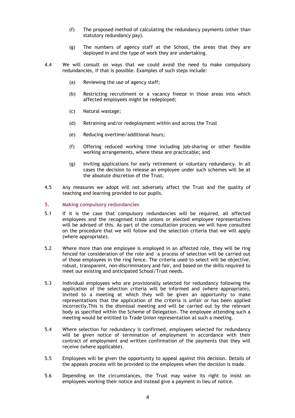- (f) The proposed method of calculating the redundancy payments (other than statutory redundancy pay).
- (g) The numbers of agency staff at the School, the areas that they are deployed in and the type of work they are undertaking.
- 4.4 We will consult on ways that we could avoid the need to make compulsory redundancies, if that is possible. Examples of such steps include:
	- (a) Reviewing the use of agency staff;
	- (b) Restricting recruitment or a vacancy freeze in those areas into which affected employees might be redeployed;
	- (c) Natural wastage;
	- (d) Retraining and/or redeployment within and across the Trust
	- (e) Reducing overtime/additional hours;
	- (f) Offering reduced working time including job-sharing or other flexible working arrangements, where these are practicable; and
	- (g) Inviting applications for early retirement or voluntary redundancy. In all cases the decision to release an employee under such schemes will be at the absolute discretion of the Trust.
- 4.5 Any measures we adopt will not adversely affect the Trust and the quality of teaching and learning provided to our pupils.
- 5. Making compulsory redundancies
- 5.1 If it is the case that compulsory redundancies will be required, all affected employees and the recognised trade unions or elected employee representatives will be advised of this. As part of the consultation process we will have consulted on the procedure that we will follow and the selection criteria that we will apply (where appropriate).
- 5.2 Where more than one employee is employed in an affected role, they will be ring fenced for consideration of the role and a process of selection will be carried out of those employees in the ring fence. The criteria used to select will be objective, robust, transparent, non-discriminatory and fair, and based on the skills required to meet our existing and anticipated School/Trust needs.
- 5.3 Individual employees who are provisionally selected for redundancy following the application of the selection criteria will be informed and (where appropriate), invited to a meeting at which they will be given an opportunity to make representations that the application of the criteria is unfair or has been applied incorrectly.This is the dismissal meeting and will be carried out by the relevant body as specified within the Scheme of Delegation. The employee attending such a meeting would be entitled to Trade Union representation at such a meeting.
- 5.4 Where selection for redundancy is confirmed, employees selected for redundancy will be given notice of termination of employment in accordance with their contract of employment and written confirmation of the payments that they will receive (where applicable).
- 5.5 Employees will be given the opportunity to appeal against this decision. Details of the appeals process will be provided to the employees when the decision is made.
- 5.6 Depending on the circumstances, the Trust may waive its right to insist on employees working their notice and instead give a payment in lieu of notice.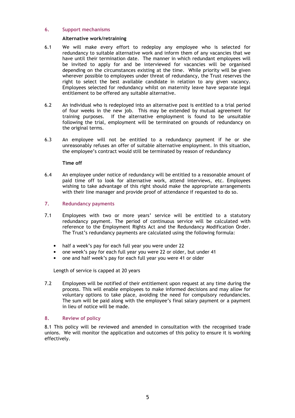#### 6. Support mechanisms

#### Alternative work/retraining

- 6.1 We will make every effort to redeploy any employee who is selected for redundancy to suitable alternative work and inform them of any vacancies that we have until their termination date. The manner in which redundant employees will be invited to apply for and be interviewed for vacancies will be organised depending on the circumstances existing at the time. While priority will be given wherever possible to employees under threat of redundancy, the Trust reserves the right to select the best available candidate in relation to any given vacancy. Employees selected for redundancy whilst on maternity leave have separate legal entitlement to be offered any suitable alternative.
- 6.2 An individual who is redeployed into an alternative post is entitled to a trial period of four weeks in the new job. This may be extended by mutual agreement for training purposes. If the alternative employment is found to be unsuitable following the trial, employment will be terminated on grounds of redundancy on the original terms.
- 6.3 An employee will not be entitled to a redundancy payment if he or she unreasonably refuses an offer of suitable alternative employment. In this situation, the employee's contract would still be terminated by reason of redundancy

#### Time off

6.4 An employee under notice of redundancy will be entitled to a reasonable amount of paid time off to look for alternative work, attend interviews, etc. Employees wishing to take advantage of this right should make the appropriate arrangements with their line manager and provide proof of attendance if requested to do so.

# 7. Redundancy payments

- 7.1 Employees with two or more years' service will be entitled to a statutory redundancy payment. The period of continuous service will be calculated with reference to the Employment Rights Act and the Redundancy Modification Order. The Trust's redundancy payments are calculated using the following formula:
	- half a week's pay for each full year you were under 22
	- one week's pay for each full year you were 22 or older, but under 41
	- one and half week's pay for each full year you were 41 or older

Length of service is capped at 20 years

7.2 Employees will be notified of their entitlement upon request at any time during the process. This will enable employees to make informed decisions and may allow for voluntary options to take place, avoiding the need for compulsory redundancies. The sum will be paid along with the employee's final salary payment or a payment in lieu of notice will be made.

#### 8. Review of policy

8.1 This policy will be reviewed and amended in consultation with the recognised trade unions. We will monitor the application and outcomes of this policy to ensure it is working effectively.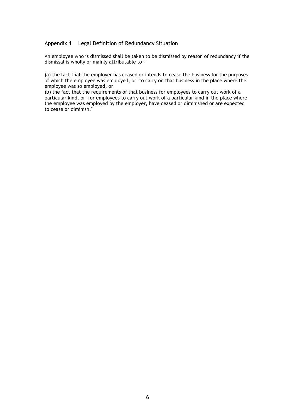#### Appendix 1 Legal Definition of Redundancy Situation

An employee who is dismissed shall be taken to be dismissed by reason of redundancy if the dismissal is wholly or mainly attributable to -

(a) the fact that the employer has ceased or intends to cease the business for the purposes of which the employee was employed, or to carry on that business in the place where the employee was so employed, or

(b) the fact that the requirements of that business for employees to carry out work of a particular kind, or for employees to carry out work of a particular kind in the place where the employee was employed by the employer, have ceased or diminished or are expected to cease or diminish."